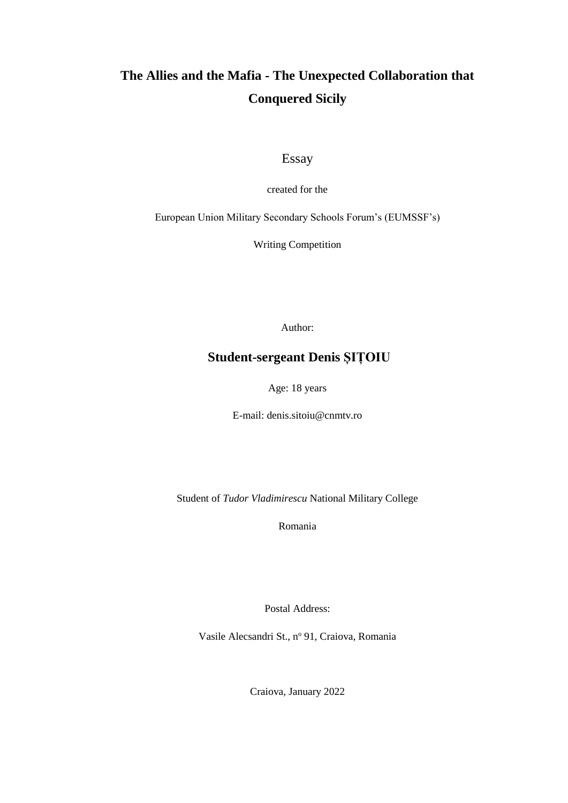# **The Allies and the Mafia - The Unexpected Collaboration that Conquered Sicily**

Essay

created for the

European Union Military Secondary Schools Forum's (EUMSSF's)

Writing Competition

Author:

#### **Student-sergeant Denis ȘIȚOIU**

Age: 18 years

E-mail: denis.sitoiu@cnmtv.ro

Student of *Tudor Vladimirescu* National Military College

Romania

Postal Address:

Vasile Alecsandri St., nº 91, Craiova, Romania

Craiova, January 2022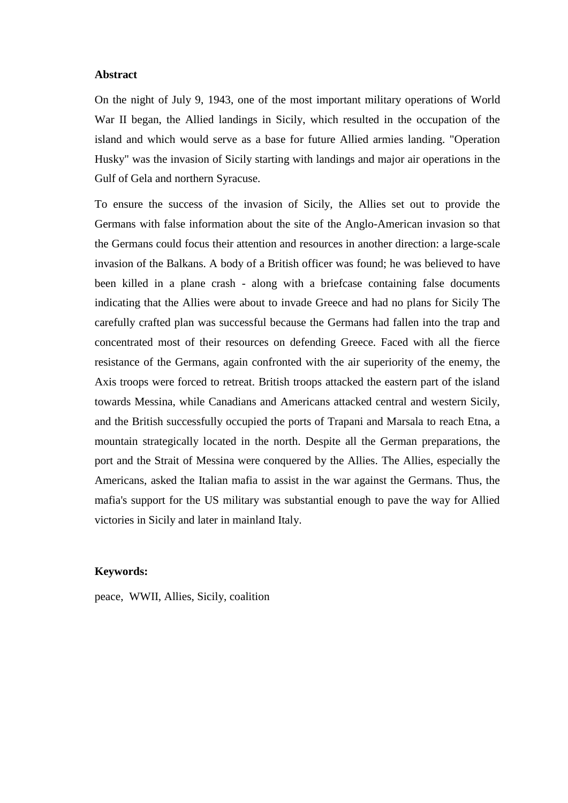#### **Abstract**

On the night of July 9, 1943, one of the most important military operations of World War II began, the Allied landings in Sicily, which resulted in the occupation of the island and which would serve as a base for future Allied armies landing. "Operation Husky" was the invasion of Sicily starting with landings and major air operations in the Gulf of Gela and northern Syracuse.

To ensure the success of the invasion of Sicily, the Allies set out to provide the Germans with false information about the site of the Anglo-American invasion so that the Germans could focus their attention and resources in another direction: a large-scale invasion of the Balkans. A body of a British officer was found; he was believed to have been killed in a plane crash - along with a briefcase containing false documents indicating that the Allies were about to invade Greece and had no plans for Sicily The carefully crafted plan was successful because the Germans had fallen into the trap and concentrated most of their resources on defending Greece. Faced with all the fierce resistance of the Germans, again confronted with the air superiority of the enemy, the Axis troops were forced to retreat. British troops attacked the eastern part of the island towards Messina, while Canadians and Americans attacked central and western Sicily, and the British successfully occupied the ports of Trapani and Marsala to reach Etna, a mountain strategically located in the north. Despite all the German preparations, the port and the Strait of Messina were conquered by the Allies. The Allies, especially the Americans, asked the Italian mafia to assist in the war against the Germans. Thus, the mafia's support for the US military was substantial enough to pave the way for Allied victories in Sicily and later in mainland Italy.

#### **Keywords:**

peace, WWII, Allies, Sicily, coalition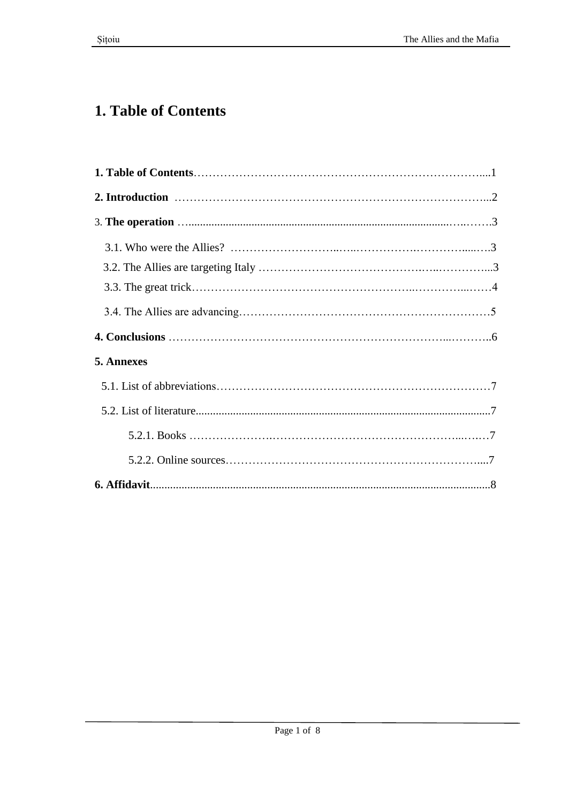# **1. Table of Contents**

| 5. Annexes |  |
|------------|--|
|            |  |
|            |  |
|            |  |
|            |  |
|            |  |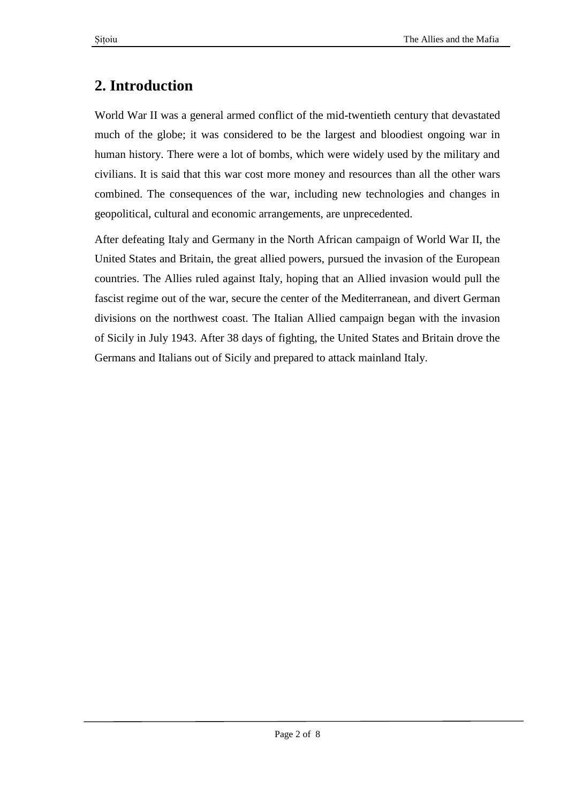# **2. Introduction**

World War II was a general armed conflict of the mid-twentieth century that devastated much of the globe; it was considered to be the largest and bloodiest ongoing war in human history. There were a lot of bombs, which were widely used by the military and civilians. It is said that this war cost more money and resources than all the other wars combined. The consequences of the war, including new technologies and changes in geopolitical, cultural and economic arrangements, are unprecedented.

After defeating Italy and Germany in the North African campaign of World War II, the United States and Britain, the great allied powers, pursued the invasion of the European countries. The Allies ruled against Italy, hoping that an Allied invasion would pull the fascist regime out of the war, secure the center of the Mediterranean, and divert German divisions on the northwest coast. The Italian Allied campaign began with the invasion of Sicily in July 1943. After 38 days of fighting, the United States and Britain drove the Germans and Italians out of Sicily and prepared to attack mainland Italy.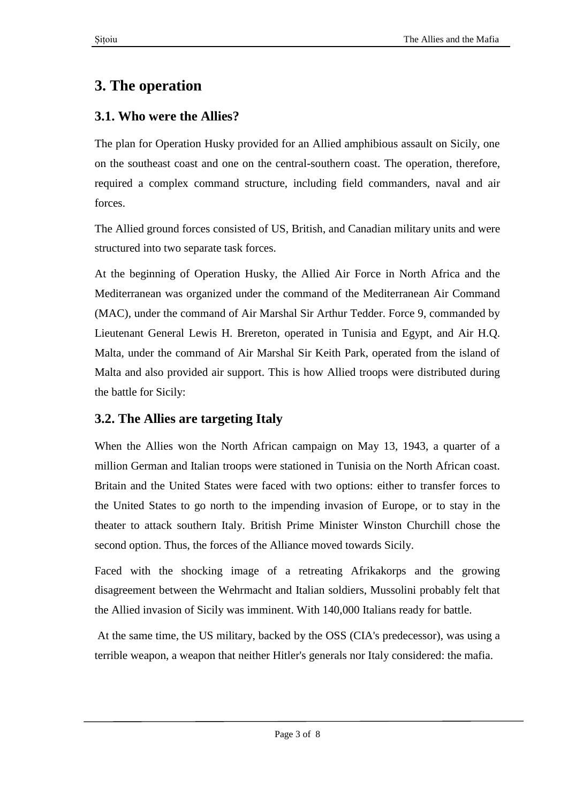# **3. The operation**

## **3.1. Who were the Allies?**

The plan for Operation Husky provided for an Allied amphibious assault on Sicily, one on the southeast coast and one on the central-southern coast. The operation, therefore, required a complex command structure, including field commanders, naval and air forces.

The Allied ground forces consisted of US, British, and Canadian military units and were structured into two separate task forces.

At the beginning of Operation Husky, the Allied Air Force in North Africa and the Mediterranean was organized under the command of the Mediterranean Air Command (MAC), under the command of Air Marshal Sir Arthur Tedder. Force 9, commanded by Lieutenant General Lewis H. Brereton, operated in Tunisia and Egypt, and Air H.Q. Malta, under the command of Air Marshal Sir Keith Park, operated from the island of Malta and also provided air support. This is how Allied troops were distributed during the battle for Sicily:

## **3.2. The Allies are targeting Italy**

When the Allies won the North African campaign on May 13, 1943, a quarter of a million German and Italian troops were stationed in Tunisia on the North African coast. Britain and the United States were faced with two options: either to transfer forces to the United States to go north to the impending invasion of Europe, or to stay in the theater to attack southern Italy. British Prime Minister Winston Churchill chose the second option. Thus, the forces of the Alliance moved towards Sicily.

Faced with the shocking image of a retreating Afrikakorps and the growing disagreement between the Wehrmacht and Italian soldiers, Mussolini probably felt that the Allied invasion of Sicily was imminent. With 140,000 Italians ready for battle.

At the same time, the US military, backed by the OSS (CIA's predecessor), was using a terrible weapon, a weapon that neither Hitler's generals nor Italy considered: the mafia.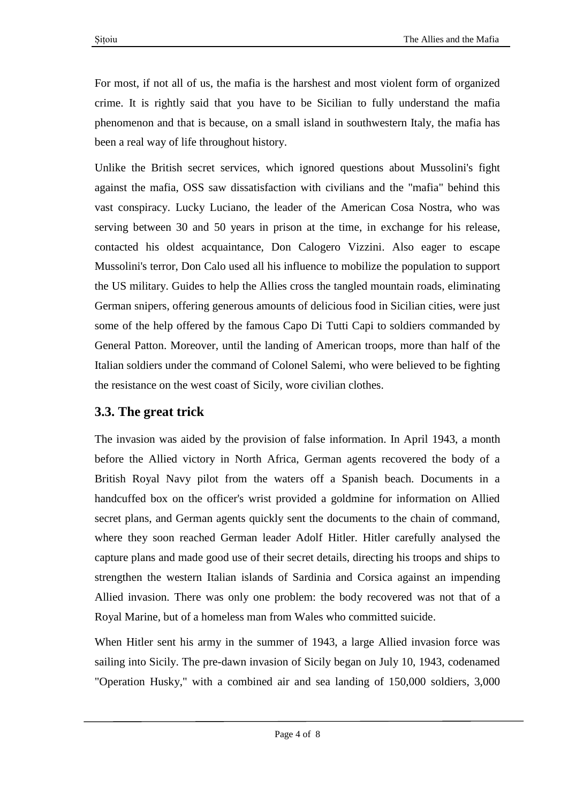For most, if not all of us, the mafia is the harshest and most violent form of organized crime. It is rightly said that you have to be Sicilian to fully understand the mafia phenomenon and that is because, on a small island in southwestern Italy, the mafia has been a real way of life throughout history.

Unlike the British secret services, which ignored questions about Mussolini's fight against the mafia, OSS saw dissatisfaction with civilians and the "mafia" behind this vast conspiracy. Lucky Luciano, the leader of the American Cosa Nostra, who was serving between 30 and 50 years in prison at the time, in exchange for his release, contacted his oldest acquaintance, Don Calogero Vizzini. Also eager to escape Mussolini's terror, Don Calo used all his influence to mobilize the population to support the US military. Guides to help the Allies cross the tangled mountain roads, eliminating German snipers, offering generous amounts of delicious food in Sicilian cities, were just some of the help offered by the famous Capo Di Tutti Capi to soldiers commanded by General Patton. Moreover, until the landing of American troops, more than half of the Italian soldiers under the command of Colonel Salemi, who were believed to be fighting the resistance on the west coast of Sicily, wore civilian clothes.

## **3.3. The great trick**

The invasion was aided by the provision of false information. In April 1943, a month before the Allied victory in North Africa, German agents recovered the body of a British Royal Navy pilot from the waters off a Spanish beach. Documents in a handcuffed box on the officer's wrist provided a goldmine for information on Allied secret plans, and German agents quickly sent the documents to the chain of command, where they soon reached German leader Adolf Hitler. Hitler carefully analysed the capture plans and made good use of their secret details, directing his troops and ships to strengthen the western Italian islands of Sardinia and Corsica against an impending Allied invasion. There was only one problem: the body recovered was not that of a Royal Marine, but of a homeless man from Wales who committed suicide.

When Hitler sent his army in the summer of 1943, a large Allied invasion force was sailing into Sicily. The pre-dawn invasion of Sicily began on July 10, 1943, codenamed "Operation Husky," with a combined air and sea landing of 150,000 soldiers, 3,000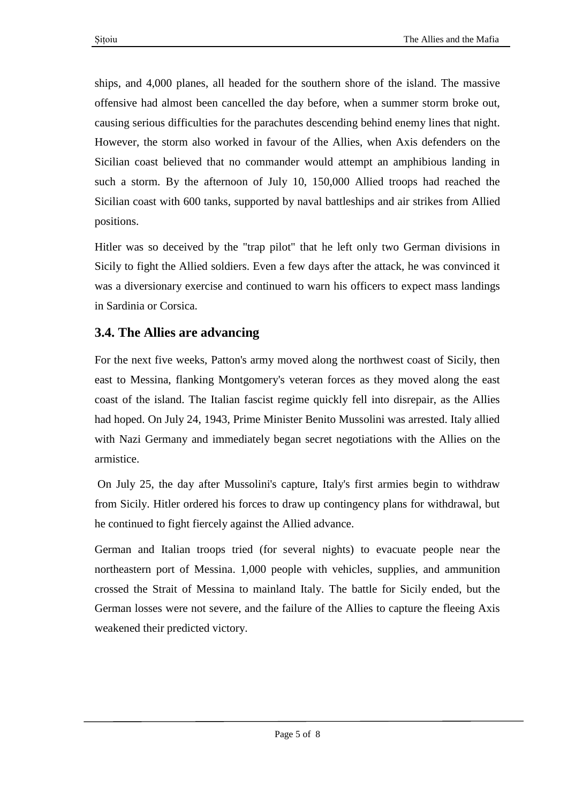ships, and 4,000 planes, all headed for the southern shore of the island. The massive offensive had almost been cancelled the day before, when a summer storm broke out, causing serious difficulties for the parachutes descending behind enemy lines that night. However, the storm also worked in favour of the Allies, when Axis defenders on the Sicilian coast believed that no commander would attempt an amphibious landing in such a storm. By the afternoon of July 10, 150,000 Allied troops had reached the Sicilian coast with 600 tanks, supported by naval battleships and air strikes from Allied positions.

Hitler was so deceived by the "trap pilot" that he left only two German divisions in Sicily to fight the Allied soldiers. Even a few days after the attack, he was convinced it was a diversionary exercise and continued to warn his officers to expect mass landings in Sardinia or Corsica.

#### **3.4. The Allies are advancing**

For the next five weeks, Patton's army moved along the northwest coast of Sicily, then east to Messina, flanking Montgomery's veteran forces as they moved along the east coast of the island. The Italian fascist regime quickly fell into disrepair, as the Allies had hoped. On July 24, 1943, Prime Minister Benito Mussolini was arrested. Italy allied with Nazi Germany and immediately began secret negotiations with the Allies on the armistice.

On July 25, the day after Mussolini's capture, Italy's first armies begin to withdraw from Sicily. Hitler ordered his forces to draw up contingency plans for withdrawal, but he continued to fight fiercely against the Allied advance.

German and Italian troops tried (for several nights) to evacuate people near the northeastern port of Messina. 1,000 people with vehicles, supplies, and ammunition crossed the Strait of Messina to mainland Italy. The battle for Sicily ended, but the German losses were not severe, and the failure of the Allies to capture the fleeing Axis weakened their predicted victory.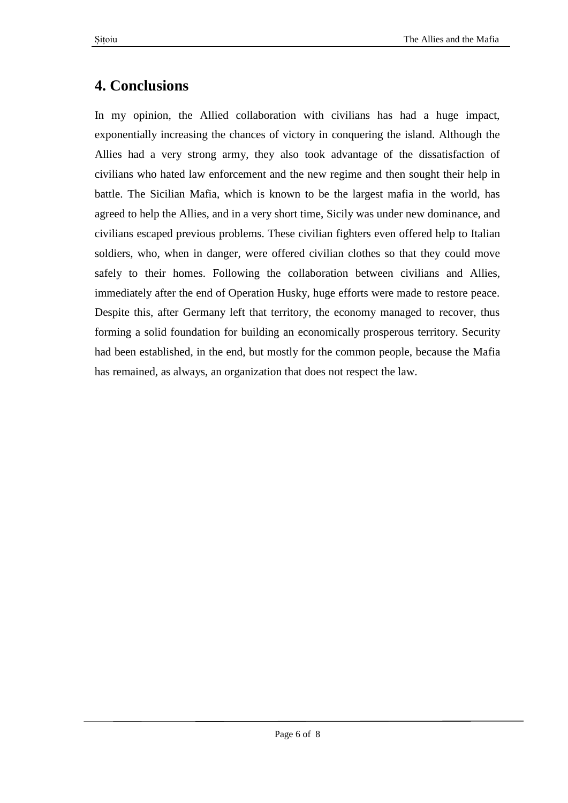## **4. Conclusions**

In my opinion, the Allied collaboration with civilians has had a huge impact, exponentially increasing the chances of victory in conquering the island. Although the Allies had a very strong army, they also took advantage of the dissatisfaction of civilians who hated law enforcement and the new regime and then sought their help in battle. The Sicilian Mafia, which is known to be the largest mafia in the world, has agreed to help the Allies, and in a very short time, Sicily was under new dominance, and civilians escaped previous problems. These civilian fighters even offered help to Italian soldiers, who, when in danger, were offered civilian clothes so that they could move safely to their homes. Following the collaboration between civilians and Allies, immediately after the end of Operation Husky, huge efforts were made to restore peace. Despite this, after Germany left that territory, the economy managed to recover, thus forming a solid foundation for building an economically prosperous territory. Security had been established, in the end, but mostly for the common people, because the Mafia has remained, as always, an organization that does not respect the law.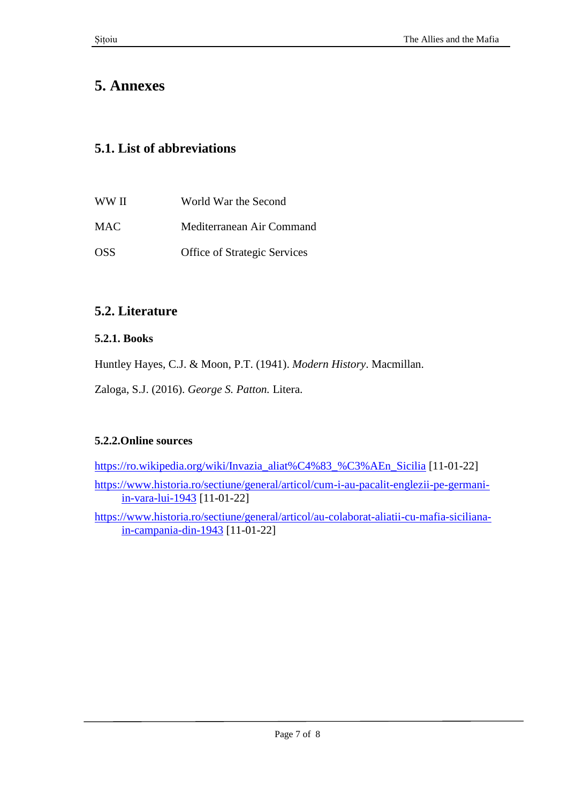## **5. Annexes**

#### **5.1. List of abbreviations**

| WW II            | World War the Second                |
|------------------|-------------------------------------|
| <b>MAC</b>       | Mediterranean Air Command           |
| OSS <sup>.</sup> | <b>Office of Strategic Services</b> |

#### **5.2. Literature**

#### **5.2.1. Books**

Huntley Hayes, C.J. & Moon, P.T. (1941). *Modern History*. Macmillan.

Zaloga, S.J. (2016). *George S. Patton.* Litera.

#### **5.2.2.Online sources**

[https://ro.wikipedia.org/wiki/Invazia\\_aliat%C4%83\\_%C3%AEn\\_Sicilia](https://ro.wikipedia.org/wiki/Invazia_aliat%C4%83_%C3%AEn_Sicilia) [11-01-22] [https://www.historia.ro/sectiune/general/articol/cum-i-au-pacalit-englezii-pe-germani](https://www.historia.ro/sectiune/general/articol/cum-i-au-pacalit-englezii-pe-germani-in-vara-lui-1943)[in-vara-lui-1943](https://www.historia.ro/sectiune/general/articol/cum-i-au-pacalit-englezii-pe-germani-in-vara-lui-1943) [11-01-22]

[https://www.historia.ro/sectiune/general/articol/au-colaborat-aliatii-cu-mafia-siciliana](https://www.historia.ro/sectiune/general/articol/au-colaborat-aliatii-cu-mafia-siciliana-in-campania-din-1943)[in-campania-din-1943](https://www.historia.ro/sectiune/general/articol/au-colaborat-aliatii-cu-mafia-siciliana-in-campania-din-1943) [11-01-22]